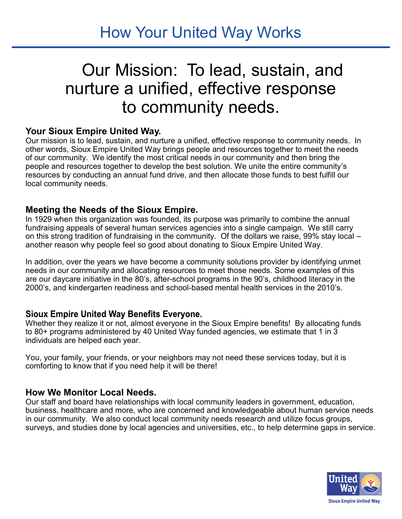How Your United Way Works

# Our Mission: To lead, sustain, and nurture a unified, effective response to community needs.

#### **Your Sioux Empire United Way.**

Our mission is to lead, sustain, and nurture a unified, effective response to community needs. In other words, Sioux Empire United Way brings people and resources together to meet the needs of our community. We identify the most critical needs in our community and then bring the people and resources together to develop the best solution. We unite the entire community's resources by conducting an annual fund drive, and then allocate those funds to best fulfill our local community needs.

#### **Meeting the Needs of the Sioux Empire.**

In 1929 when this organization was founded, its purpose was primarily to combine the annual fundraising appeals of several human services agencies into a single campaign. We still carry on this strong tradition of fundraising in the community. Of the dollars we raise, 99% stay local – another reason why people feel so good about donating to Sioux Empire United Way.

In addition, over the years we have become a community solutions provider by identifying unmet needs in our community and allocating resources to meet those needs. Some examples of this are our daycare initiative in the 80's, after-school programs in the 90's, childhood literacy in the 2000's, and kindergarten readiness and school-based mental health services in the 2010's.

#### **Sioux Empire United Way Benefits Everyone.**

Whether they realize it or not, almost everyone in the Sioux Empire benefits! By allocating funds to 80+ programs administered by 40 United Way funded agencies, we estimate that 1 in  $3$ individuals are helped each year.

You, your family, your friends, or your neighbors may not need these services today, but it is comforting to know that if you need help it will be there!

#### **How We Monitor Local Needs.**

Our staff and board have relationships with local community leaders in government, education, business, healthcare and more, who are concerned and knowledgeable about human service needs in our community. We also conduct local community needs research and utilize focus groups, surveys, and studies done by local agencies and universities, etc., to help determine gaps in service.

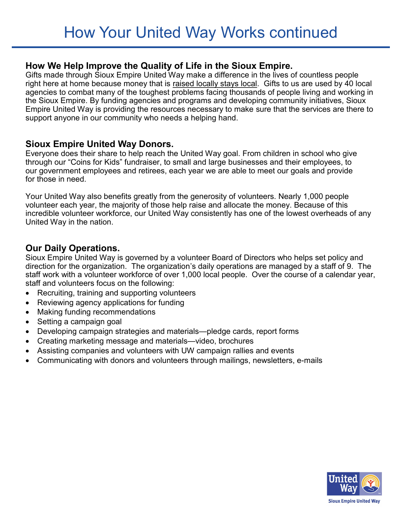### **How We Help Improve the Quality of Life in the Sioux Empire.**

Gifts made through Sioux Empire United Way make a difference in the lives of countless people right here at home because money that is raised locally stays local. Gifts to us are used by 40 local agencies to combat many of the toughest problems facing thousands of people living and working in the Sioux Empire. By funding agencies and programs and developing community initiatives, Sioux Empire United Way is providing the resources necessary to make sure that the services are there to support anyone in our community who needs a helping hand.

#### **Sioux Empire United Way Donors.**

Everyone does their share to help reach the United Way goal. From children in school who give through our "Coins for Kids" fundraiser, to small and large businesses and their employees, to our government employees and retirees, each year we are able to meet our goals and provide for those in need.

Your United Way also benefits greatly from the generosity of volunteers. Nearly 1,000 people volunteer each year, the majority of those help raise and allocate the money. Because of this incredible volunteer workforce, our United Way consistently has one of the lowest overheads of any United Way in the nation.

## **Our Daily Operations.**

Sioux Empire United Way is governed by a volunteer Board of Directors who helps set policy and direction for the organization. The organization's daily operations are managed by a staff of 9. The staff work with a volunteer workforce of over 1,000 local people. Over the course of a calendar year, staff and volunteers focus on the following:

- Recruiting, training and supporting volunteers
- Reviewing agency applications for funding
- Making funding recommendations
- Setting a campaign goal
- Developing campaign strategies and materials—pledge cards, report forms
- Creating marketing message and materials—video, brochures
- Assisting companies and volunteers with UW campaign rallies and events
- Communicating with donors and volunteers through mailings, newsletters, e-mails